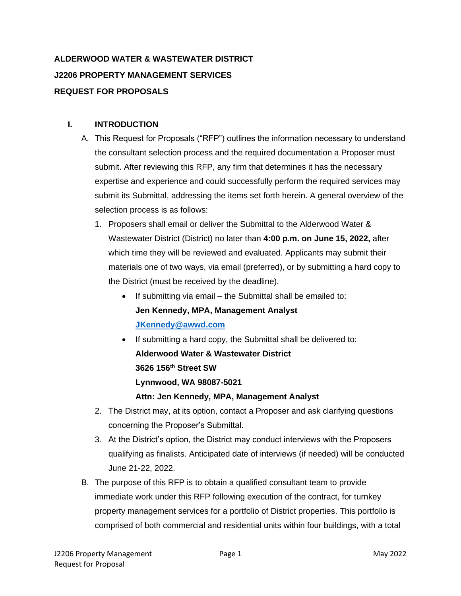# **ALDERWOOD WATER & WASTEWATER DISTRICT J2206 PROPERTY MANAGEMENT SERVICES REQUEST FOR PROPOSALS**

## **I. INTRODUCTION**

- A. This Request for Proposals ("RFP") outlines the information necessary to understand the consultant selection process and the required documentation a Proposer must submit. After reviewing this RFP, any firm that determines it has the necessary expertise and experience and could successfully perform the required services may submit its Submittal, addressing the items set forth herein. A general overview of the selection process is as follows:
	- 1. Proposers shall email or deliver the Submittal to the Alderwood Water & Wastewater District (District) no later than **4:00 p.m. on June 15, 2022,** after which time they will be reviewed and evaluated. Applicants may submit their materials one of two ways, via email (preferred), or by submitting a hard copy to the District (must be received by the deadline).
		- If submitting via email the Submittal shall be emailed to: **Jen Kennedy, MPA, Management Analyst [JKennedy@awwd.com](mailto:JKennedy@awwd.com)**
		- If submitting a hard copy, the Submittal shall be delivered to: **Alderwood Water & Wastewater District 3626 156th Street SW Lynnwood, WA 98087-5021 Attn: Jen Kennedy, MPA, Management Analyst**
	- 2. The District may, at its option, contact a Proposer and ask clarifying questions concerning the Proposer's Submittal.
	- 3. At the District's option, the District may conduct interviews with the Proposers qualifying as finalists. Anticipated date of interviews (if needed) will be conducted June 21-22, 2022.
- B. The purpose of this RFP is to obtain a qualified consultant team to provide immediate work under this RFP following execution of the contract, for turnkey property management services for a portfolio of District properties. This portfolio is comprised of both commercial and residential units within four buildings, with a total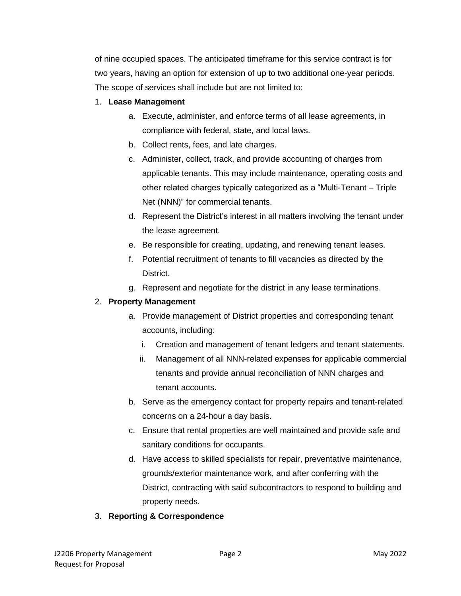of nine occupied spaces. The anticipated timeframe for this service contract is for two years, having an option for extension of up to two additional one-year periods. The scope of services shall include but are not limited to:

### 1. **Lease Management**

- a. Execute, administer, and enforce terms of all lease agreements, in compliance with federal, state, and local laws.
- b. Collect rents, fees, and late charges.
- c. Administer, collect, track, and provide accounting of charges from applicable tenants. This may include maintenance, operating costs and other related charges typically categorized as a "Multi-Tenant – Triple Net (NNN)" for commercial tenants.
- d. Represent the District's interest in all matters involving the tenant under the lease agreement.
- e. Be responsible for creating, updating, and renewing tenant leases.
- f. Potential recruitment of tenants to fill vacancies as directed by the District.
- g. Represent and negotiate for the district in any lease terminations.

## 2. **Property Management**

- a. Provide management of District properties and corresponding tenant accounts, including:
	- i. Creation and management of tenant ledgers and tenant statements.
	- ii. Management of all NNN-related expenses for applicable commercial tenants and provide annual reconciliation of NNN charges and tenant accounts.
- b. Serve as the emergency contact for property repairs and tenant-related concerns on a 24-hour a day basis.
- c. Ensure that rental properties are well maintained and provide safe and sanitary conditions for occupants.
- d. Have access to skilled specialists for repair, preventative maintenance, grounds/exterior maintenance work, and after conferring with the District, contracting with said subcontractors to respond to building and property needs.

## 3. **Reporting & Correspondence**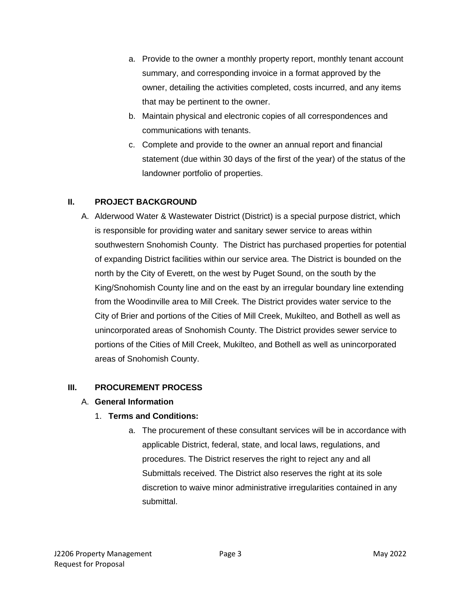- a. Provide to the owner a monthly property report, monthly tenant account summary, and corresponding invoice in a format approved by the owner, detailing the activities completed, costs incurred, and any items that may be pertinent to the owner.
- b. Maintain physical and electronic copies of all correspondences and communications with tenants.
- c. Complete and provide to the owner an annual report and financial statement (due within 30 days of the first of the year) of the status of the landowner portfolio of properties.

## **II. PROJECT BACKGROUND**

A. Alderwood Water & Wastewater District (District) is a special purpose district, which is responsible for providing water and sanitary sewer service to areas within southwestern Snohomish County. The District has purchased properties for potential of expanding District facilities within our service area. The District is bounded on the north by the City of Everett, on the west by Puget Sound, on the south by the King/Snohomish County line and on the east by an irregular boundary line extending from the Woodinville area to Mill Creek. The District provides water service to the City of Brier and portions of the Cities of Mill Creek, Mukilteo, and Bothell as well as unincorporated areas of Snohomish County. The District provides sewer service to portions of the Cities of Mill Creek, Mukilteo, and Bothell as well as unincorporated areas of Snohomish County.

## **III. PROCUREMENT PROCESS**

#### A. **General Information**

#### 1. **Terms and Conditions:**

a. The procurement of these consultant services will be in accordance with applicable District, federal, state, and local laws, regulations, and procedures. The District reserves the right to reject any and all Submittals received. The District also reserves the right at its sole discretion to waive minor administrative irregularities contained in any submittal.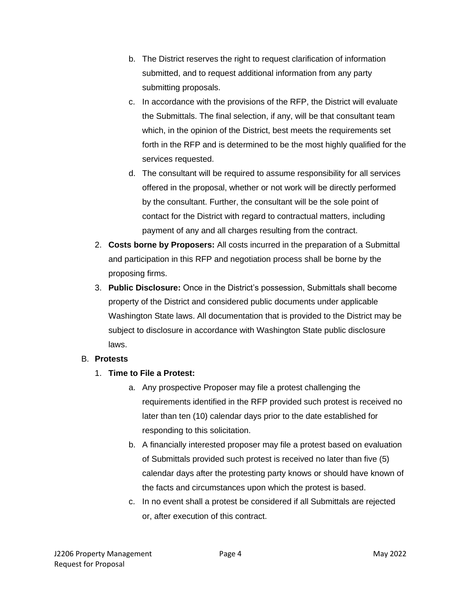- b. The District reserves the right to request clarification of information submitted, and to request additional information from any party submitting proposals.
- c. In accordance with the provisions of the RFP, the District will evaluate the Submittals. The final selection, if any, will be that consultant team which, in the opinion of the District, best meets the requirements set forth in the RFP and is determined to be the most highly qualified for the services requested.
- d. The consultant will be required to assume responsibility for all services offered in the proposal, whether or not work will be directly performed by the consultant. Further, the consultant will be the sole point of contact for the District with regard to contractual matters, including payment of any and all charges resulting from the contract.
- 2. **Costs borne by Proposers:** All costs incurred in the preparation of a Submittal and participation in this RFP and negotiation process shall be borne by the proposing firms.
- 3. **Public Disclosure:** Once in the District's possession, Submittals shall become property of the District and considered public documents under applicable Washington State laws. All documentation that is provided to the District may be subject to disclosure in accordance with Washington State public disclosure laws.

#### B. **Protests**

- 1. **Time to File a Protest:**
	- a. Any prospective Proposer may file a protest challenging the requirements identified in the RFP provided such protest is received no later than ten (10) calendar days prior to the date established for responding to this solicitation.
	- b. A financially interested proposer may file a protest based on evaluation of Submittals provided such protest is received no later than five (5) calendar days after the protesting party knows or should have known of the facts and circumstances upon which the protest is based.
	- c. In no event shall a protest be considered if all Submittals are rejected or, after execution of this contract.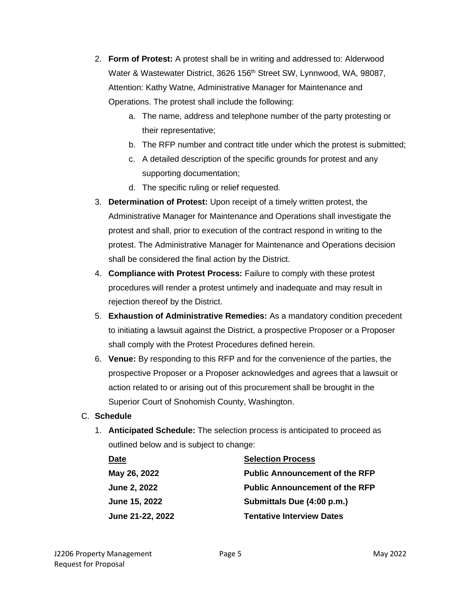- 2. **Form of Protest:** A protest shall be in writing and addressed to: Alderwood Water & Wastewater District, 3626 156<sup>th</sup> Street SW, Lynnwood, WA, 98087, Attention: Kathy Watne, Administrative Manager for Maintenance and Operations. The protest shall include the following:
	- a. The name, address and telephone number of the party protesting or their representative;
	- b. The RFP number and contract title under which the protest is submitted;
	- c. A detailed description of the specific grounds for protest and any supporting documentation;
	- d. The specific ruling or relief requested.
- 3. **Determination of Protest:** Upon receipt of a timely written protest, the Administrative Manager for Maintenance and Operations shall investigate the protest and shall, prior to execution of the contract respond in writing to the protest. The Administrative Manager for Maintenance and Operations decision shall be considered the final action by the District.
- 4. **Compliance with Protest Process:** Failure to comply with these protest procedures will render a protest untimely and inadequate and may result in rejection thereof by the District.
- 5. **Exhaustion of Administrative Remedies:** As a mandatory condition precedent to initiating a lawsuit against the District, a prospective Proposer or a Proposer shall comply with the Protest Procedures defined herein.
- 6. **Venue:** By responding to this RFP and for the convenience of the parties, the prospective Proposer or a Proposer acknowledges and agrees that a lawsuit or action related to or arising out of this procurement shall be brought in the Superior Court of Snohomish County, Washington.

#### C. **Schedule**

1. **Anticipated Schedule:** The selection process is anticipated to proceed as outlined below and is subject to change:

| Date                    | <b>Selection Process</b>                                            |  |
|-------------------------|---------------------------------------------------------------------|--|
| May 26, 2022            | <b>Public Announcement of the RFP</b>                               |  |
| <b>June 2, 2022</b>     | <b>Public Announcement of the RFP</b><br>Submittals Due (4:00 p.m.) |  |
| June 15, 2022           |                                                                     |  |
| <b>June 21-22, 2022</b> | <b>Tentative Interview Dates</b>                                    |  |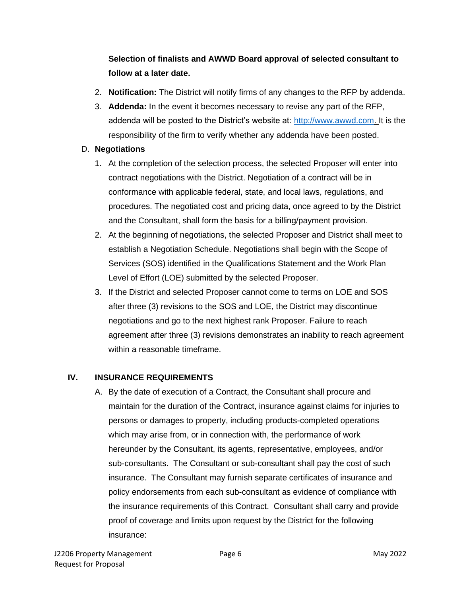## **Selection of finalists and AWWD Board approval of selected consultant to follow at a later date.**

- 2. **Notification:** The District will notify firms of any changes to the RFP by addenda.
- 3. **Addenda:** In the event it becomes necessary to revise any part of the RFP, addenda will be posted to the District's website at: [http://www.awwd.com.](http://www.awwd.com/) It is the responsibility of the firm to verify whether any addenda have been posted.

#### D. **Negotiations**

- 1. At the completion of the selection process, the selected Proposer will enter into contract negotiations with the District. Negotiation of a contract will be in conformance with applicable federal, state, and local laws, regulations, and procedures. The negotiated cost and pricing data, once agreed to by the District and the Consultant, shall form the basis for a billing/payment provision.
- 2. At the beginning of negotiations, the selected Proposer and District shall meet to establish a Negotiation Schedule. Negotiations shall begin with the Scope of Services (SOS) identified in the Qualifications Statement and the Work Plan Level of Effort (LOE) submitted by the selected Proposer.
- 3. If the District and selected Proposer cannot come to terms on LOE and SOS after three (3) revisions to the SOS and LOE, the District may discontinue negotiations and go to the next highest rank Proposer. Failure to reach agreement after three (3) revisions demonstrates an inability to reach agreement within a reasonable timeframe.

#### **IV. INSURANCE REQUIREMENTS**

A. By the date of execution of a Contract, the Consultant shall procure and maintain for the duration of the Contract, insurance against claims for injuries to persons or damages to property, including products-completed operations which may arise from, or in connection with, the performance of work hereunder by the Consultant, its agents, representative, employees, and/or sub-consultants. The Consultant or sub-consultant shall pay the cost of such insurance. The Consultant may furnish separate certificates of insurance and policy endorsements from each sub-consultant as evidence of compliance with the insurance requirements of this Contract. Consultant shall carry and provide proof of coverage and limits upon request by the District for the following insurance: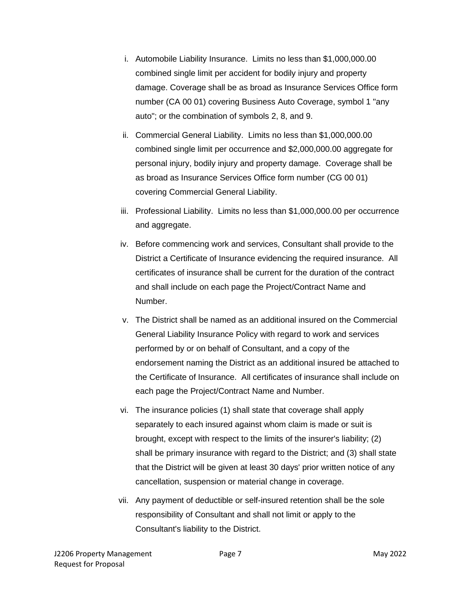- i. Automobile Liability Insurance. Limits no less than \$1,000,000.00 combined single limit per accident for bodily injury and property damage. Coverage shall be as broad as Insurance Services Office form number (CA 00 01) covering Business Auto Coverage, symbol 1 "any auto"; or the combination of symbols 2, 8, and 9.
- ii. Commercial General Liability. Limits no less than \$1,000,000.00 combined single limit per occurrence and \$2,000,000.00 aggregate for personal injury, bodily injury and property damage. Coverage shall be as broad as Insurance Services Office form number (CG 00 01) covering Commercial General Liability.
- iii. Professional Liability. Limits no less than \$1,000,000.00 per occurrence and aggregate.
- iv. Before commencing work and services, Consultant shall provide to the District a Certificate of Insurance evidencing the required insurance. All certificates of insurance shall be current for the duration of the contract and shall include on each page the Project/Contract Name and Number.
- v. The District shall be named as an additional insured on the Commercial General Liability Insurance Policy with regard to work and services performed by or on behalf of Consultant, and a copy of the endorsement naming the District as an additional insured be attached to the Certificate of Insurance. All certificates of insurance shall include on each page the Project/Contract Name and Number.
- vi. The insurance policies (1) shall state that coverage shall apply separately to each insured against whom claim is made or suit is brought, except with respect to the limits of the insurer's liability; (2) shall be primary insurance with regard to the District; and (3) shall state that the District will be given at least 30 days' prior written notice of any cancellation, suspension or material change in coverage.
- vii. Any payment of deductible or self-insured retention shall be the sole responsibility of Consultant and shall not limit or apply to the Consultant's liability to the District.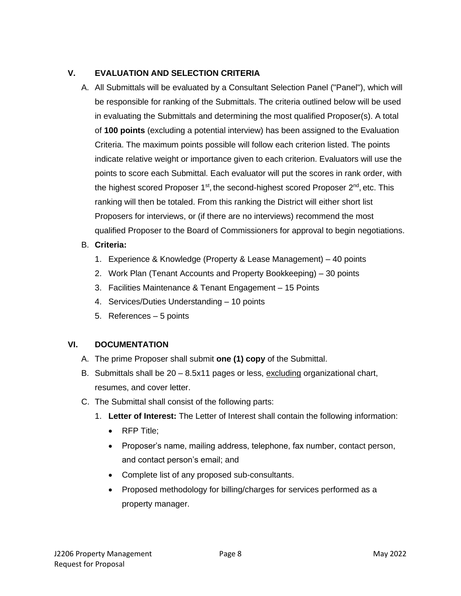## **V. EVALUATION AND SELECTION CRITERIA**

A. All Submittals will be evaluated by a Consultant Selection Panel ("Panel"), which will be responsible for ranking of the Submittals. The criteria outlined below will be used in evaluating the Submittals and determining the most qualified Proposer(s). A total of **100 points** (excluding a potential interview) has been assigned to the Evaluation Criteria. The maximum points possible will follow each criterion listed. The points indicate relative weight or importance given to each criterion. Evaluators will use the points to score each Submittal. Each evaluator will put the scores in rank order, with the highest scored Proposer 1<sup>st</sup>, the second-highest scored Proposer 2<sup>nd</sup>, etc. This ranking will then be totaled. From this ranking the District will either short list Proposers for interviews, or (if there are no interviews) recommend the most qualified Proposer to the Board of Commissioners for approval to begin negotiations.

## B. **Criteria:**

- 1. Experience & Knowledge (Property & Lease Management) 40 points
- 2. Work Plan (Tenant Accounts and Property Bookkeeping) 30 points
- 3. Facilities Maintenance & Tenant Engagement 15 Points
- 4. Services/Duties Understanding 10 points
- 5. References 5 points

## **VI. DOCUMENTATION**

- A. The prime Proposer shall submit **one (1) copy** of the Submittal.
- B. Submittals shall be 20 8.5x11 pages or less, excluding organizational chart, resumes, and cover letter.
- C. The Submittal shall consist of the following parts:
	- 1. **Letter of Interest:** The Letter of Interest shall contain the following information:
		- RFP Title;
		- Proposer's name, mailing address, telephone, fax number, contact person, and contact person's email; and
		- Complete list of any proposed sub-consultants.
		- Proposed methodology for billing/charges for services performed as a property manager.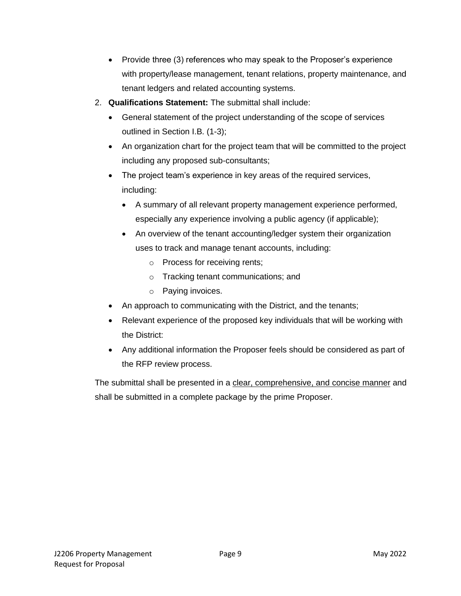- Provide three (3) references who may speak to the Proposer's experience with property/lease management, tenant relations, property maintenance, and tenant ledgers and related accounting systems.
- 2. **Qualifications Statement:** The submittal shall include:
	- General statement of the project understanding of the scope of services outlined in Section I.B. (1-3);
	- An organization chart for the project team that will be committed to the project including any proposed sub-consultants;
	- The project team's experience in key areas of the required services, including:
		- A summary of all relevant property management experience performed, especially any experience involving a public agency (if applicable);
		- An overview of the tenant accounting/ledger system their organization uses to track and manage tenant accounts, including:
			- o Process for receiving rents;
			- o Tracking tenant communications; and
			- o Paying invoices.
	- An approach to communicating with the District, and the tenants;
	- Relevant experience of the proposed key individuals that will be working with the District:
	- Any additional information the Proposer feels should be considered as part of the RFP review process.

The submittal shall be presented in a clear, comprehensive, and concise manner and shall be submitted in a complete package by the prime Proposer.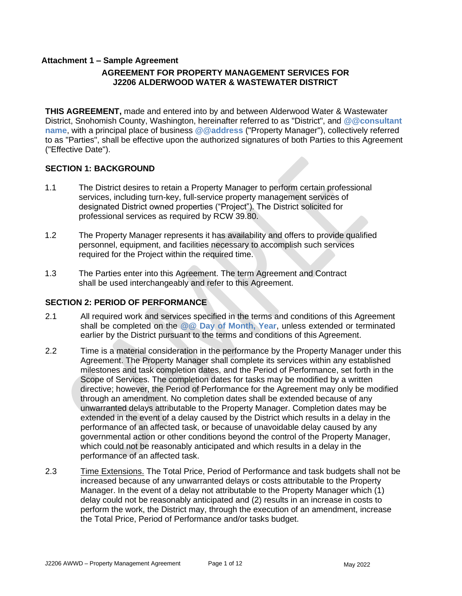#### **Attachment 1 – Sample Agreement AGREEMENT FOR PROPERTY MANAGEMENT SERVICES FOR J2206 ALDERWOOD WATER & WASTEWATER DISTRICT**

**THIS AGREEMENT,** made and entered into by and between Alderwood Water & Wastewater District, Snohomish County, Washington, hereinafter referred to as "District", and **@@consultant name**, with a principal place of business **@@address** ("Property Manager"), collectively referred to as "Parties", shall be effective upon the authorized signatures of both Parties to this Agreement ("Effective Date").

#### **SECTION 1: BACKGROUND**

- 1.1 The District desires to retain a Property Manager to perform certain professional services, including turn-key, full-service property management services of designated District owned properties ("Project"). The District solicited for professional services as required by RCW 39.80.
- 1.2 The Property Manager represents it has availability and offers to provide qualified personnel, equipment, and facilities necessary to accomplish such services required for the Project within the required time.
- 1.3 The Parties enter into this Agreement. The term Agreement and Contract shall be used interchangeably and refer to this Agreement.

#### **SECTION 2: PERIOD OF PERFORMANCE**

- 2.1 All required work and services specified in the terms and conditions of this Agreement shall be completed on the **@@ Day of Month, Year**, unless extended or terminated earlier by the District pursuant to the terms and conditions of this Agreement.
- 2.2 Time is a material consideration in the performance by the Property Manager under this Agreement. The Property Manager shall complete its services within any established milestones and task completion dates, and the Period of Performance, set forth in the Scope of Services. The completion dates for tasks may be modified by a written directive; however, the Period of Performance for the Agreement may only be modified through an amendment. No completion dates shall be extended because of any unwarranted delays attributable to the Property Manager. Completion dates may be extended in the event of a delay caused by the District which results in a delay in the performance of an affected task, or because of unavoidable delay caused by any governmental action or other conditions beyond the control of the Property Manager, which could not be reasonably anticipated and which results in a delay in the performance of an affected task.
- 2.3 Time Extensions. The Total Price, Period of Performance and task budgets shall not be increased because of any unwarranted delays or costs attributable to the Property Manager. In the event of a delay not attributable to the Property Manager which (1) delay could not be reasonably anticipated and (2) results in an increase in costs to perform the work, the District may, through the execution of an amendment, increase the Total Price, Period of Performance and/or tasks budget.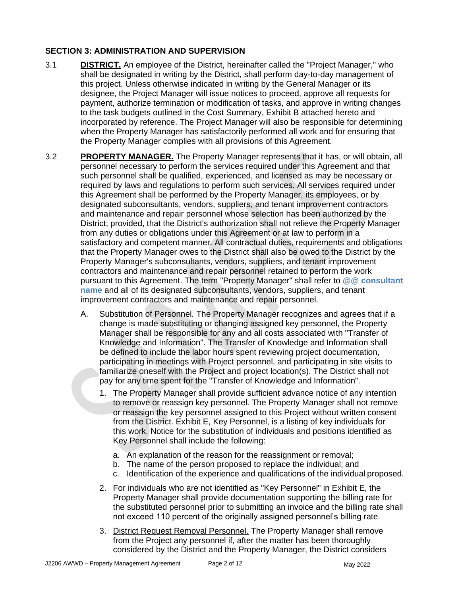#### **SECTION 3: ADMINISTRATION AND SUPERVISION**

- 3.1 **DISTRICT.** An employee of the District, hereinafter called the "Project Manager," who shall be designated in writing by the District, shall perform day-to-day management of this project. Unless otherwise indicated in writing by the General Manager or its designee, the Project Manager will issue notices to proceed, approve all requests for payment, authorize termination or modification of tasks, and approve in writing changes to the task budgets outlined in the Cost Summary, Exhibit B attached hereto and incorporated by reference. The Project Manager will also be responsible for determining when the Property Manager has satisfactorily performed all work and for ensuring that the Property Manager complies with all provisions of this Agreement.
- 3.2 **PROPERTY MANAGER.** The Property Manager represents that it has, or will obtain, all personnel necessary to perform the services required under this Agreement and that such personnel shall be qualified, experienced, and licensed as may be necessary or required by laws and regulations to perform such services. All services required under this Agreement shall be performed by the Property Manager, its employees, or by designated subconsultants, vendors, suppliers, and tenant improvement contractors and maintenance and repair personnel whose selection has been authorized by the District; provided, that the District's authorization shall not relieve the Property Manager from any duties or obligations under this Agreement or at law to perform in a satisfactory and competent manner. All contractual duties, requirements and obligations that the Property Manager owes to the District shall also be owed to the District by the Property Manager's subconsultants, vendors, suppliers, and tenant improvement contractors and maintenance and repair personnel retained to perform the work pursuant to this Agreement. The term "Property Manager" shall refer to **@@ consultant name** and all of its designated subconsultants, vendors, suppliers, and tenant improvement contractors and maintenance and repair personnel.
	- A. Substitution of Personnel. The Property Manager recognizes and agrees that if a change is made substituting or changing assigned key personnel, the Property Manager shall be responsible for any and all costs associated with "Transfer of Knowledge and Information". The Transfer of Knowledge and Information shall be defined to include the labor hours spent reviewing project documentation, participating in meetings with Project personnel, and participating in site visits to familiarize oneself with the Project and project location(s). The District shall not pay for any time spent for the "Transfer of Knowledge and Information".
		- 1. The Property Manager shall provide sufficient advance notice of any intention to remove or reassign key personnel. The Property Manager shall not remove or reassign the key personnel assigned to this Project without written consent from the District. Exhibit E, Key Personnel, is a listing of key individuals for this work. Notice for the substitution of individuals and positions identified as Key Personnel shall include the following:
			- a. An explanation of the reason for the reassignment or removal;
			- b. The name of the person proposed to replace the individual; and
			- c. Identification of the experience and qualifications of the individual proposed.
		- 2. For individuals who are not identified as "Key Personnel" in Exhibit E, the Property Manager shall provide documentation supporting the billing rate for the substituted personnel prior to submitting an invoice and the billing rate shall not exceed 110 percent of the originally assigned personnel's billing rate.
		- 3. District Request Removal Personnel. The Property Manager shall remove from the Project any personnel if, after the matter has been thoroughly considered by the District and the Property Manager, the District considers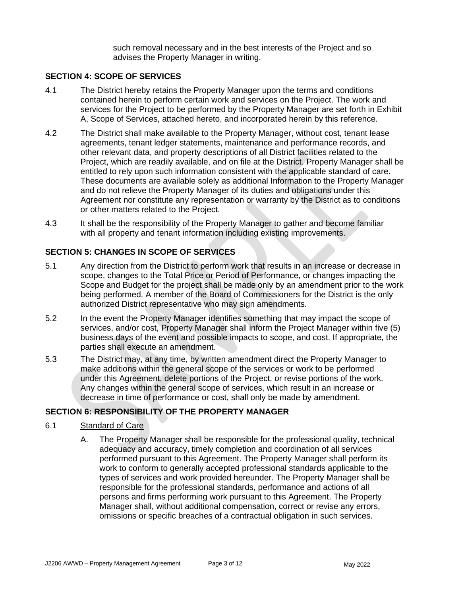such removal necessary and in the best interests of the Project and so advises the Property Manager in writing.

#### **SECTION 4: SCOPE OF SERVICES**

- 4.1 The District hereby retains the Property Manager upon the terms and conditions contained herein to perform certain work and services on the Project. The work and services for the Project to be performed by the Property Manager are set forth in Exhibit A, Scope of Services, attached hereto, and incorporated herein by this reference.
- 4.2 The District shall make available to the Property Manager, without cost, tenant lease agreements, tenant ledger statements, maintenance and performance records, and other relevant data, and property descriptions of all District facilities related to the Project, which are readily available, and on file at the District. Property Manager shall be entitled to rely upon such information consistent with the applicable standard of care. These documents are available solely as additional Information to the Property Manager and do not relieve the Property Manager of its duties and obligations under this Agreement nor constitute any representation or warranty by the District as to conditions or other matters related to the Project.
- 4.3 It shall be the responsibility of the Property Manager to gather and become familiar with all property and tenant information including existing improvements.

#### **SECTION 5: CHANGES IN SCOPE OF SERVICES**

- 5.1 Any direction from the District to perform work that results in an increase or decrease in scope, changes to the Total Price or Period of Performance, or changes impacting the Scope and Budget for the project shall be made only by an amendment prior to the work being performed. A member of the Board of Commissioners for the District is the only authorized District representative who may sign amendments.
- 5.2 In the event the Property Manager identifies something that may impact the scope of services, and/or cost, Property Manager shall inform the Project Manager within five (5) business days of the event and possible impacts to scope, and cost. If appropriate, the parties shall execute an amendment.
- 5.3 The District may, at any time, by written amendment direct the Property Manager to make additions within the general scope of the services or work to be performed under this Agreement, delete portions of the Project, or revise portions of the work. Any changes within the general scope of services, which result in an increase or decrease in time of performance or cost, shall only be made by amendment.

#### **SECTION 6: RESPONSIBILITY OF THE PROPERTY MANAGER**

#### 6.1 Standard of Care

A. The Property Manager shall be responsible for the professional quality, technical adequacy and accuracy, timely completion and coordination of all services performed pursuant to this Agreement. The Property Manager shall perform its work to conform to generally accepted professional standards applicable to the types of services and work provided hereunder. The Property Manager shall be responsible for the professional standards, performance and actions of all persons and firms performing work pursuant to this Agreement. The Property Manager shall, without additional compensation, correct or revise any errors, omissions or specific breaches of a contractual obligation in such services.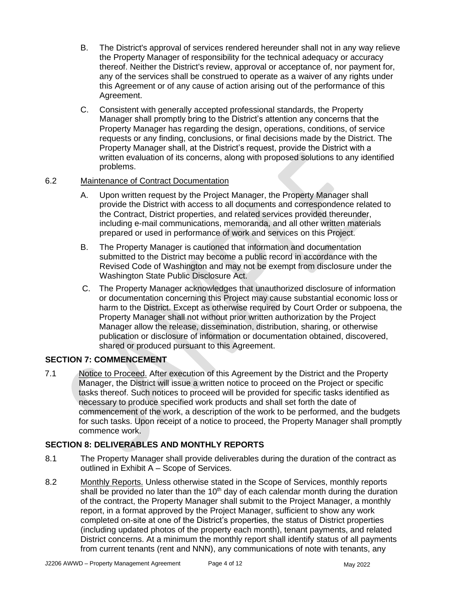- B. The District's approval of services rendered hereunder shall not in any way relieve the Property Manager of responsibility for the technical adequacy or accuracy thereof. Neither the District's review, approval or acceptance of, nor payment for, any of the services shall be construed to operate as a waiver of any rights under this Agreement or of any cause of action arising out of the performance of this Agreement.
- C. Consistent with generally accepted professional standards, the Property Manager shall promptly bring to the District's attention any concerns that the Property Manager has regarding the design, operations, conditions, of service requests or any finding, conclusions, or final decisions made by the District. The Property Manager shall, at the District's request, provide the District with a written evaluation of its concerns, along with proposed solutions to any identified problems.

#### 6.2 Maintenance of Contract Documentation

- A. Upon written request by the Project Manager, the Property Manager shall provide the District with access to all documents and correspondence related to the Contract, District properties, and related services provided thereunder, including e-mail communications, memoranda, and all other written materials prepared or used in performance of work and services on this Project.
- B. The Property Manager is cautioned that information and documentation submitted to the District may become a public record in accordance with the Revised Code of Washington and may not be exempt from disclosure under the Washington State Public Disclosure Act.
- C. The Property Manager acknowledges that unauthorized disclosure of information or documentation concerning this Project may cause substantial economic loss or harm to the District. Except as otherwise required by Court Order or subpoena, the Property Manager shall not without prior written authorization by the Project Manager allow the release, dissemination, distribution, sharing, or otherwise publication or disclosure of information or documentation obtained, discovered, shared or produced pursuant to this Agreement.

#### **SECTION 7: COMMENCEMENT**

7.1 Notice to Proceed. After execution of this Agreement by the District and the Property Manager, the District will issue a written notice to proceed on the Project or specific tasks thereof. Such notices to proceed will be provided for specific tasks identified as necessary to produce specified work products and shall set forth the date of commencement of the work, a description of the work to be performed, and the budgets for such tasks. Upon receipt of a notice to proceed, the Property Manager shall promptly commence work.

#### **SECTION 8: DELIVERABLES AND MONTHLY REPORTS**

- 8.1 The Property Manager shall provide deliverables during the duration of the contract as outlined in Exhibit A – Scope of Services.
- 8.2 Monthly Reports. Unless otherwise stated in the Scope of Services, monthly reports shall be provided no later than the  $10<sup>th</sup>$  day of each calendar month during the duration of the contract, the Property Manager shall submit to the Project Manager, a monthly report, in a format approved by the Project Manager, sufficient to show any work completed on-site at one of the District's properties, the status of District properties (including updated photos of the property each month), tenant payments, and related District concerns. At a minimum the monthly report shall identify status of all payments from current tenants (rent and NNN), any communications of note with tenants, any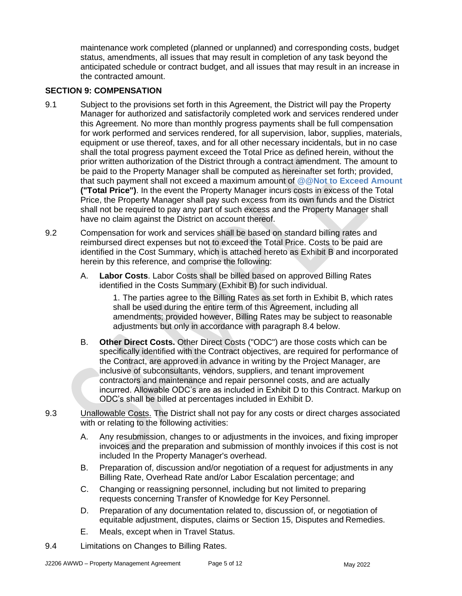maintenance work completed (planned or unplanned) and corresponding costs, budget status, amendments, all issues that may result in completion of any task beyond the anticipated schedule or contract budget, and all issues that may result in an increase in the contracted amount.

#### **SECTION 9: COMPENSATION**

- 9.1 Subject to the provisions set forth in this Agreement, the District will pay the Property Manager for authorized and satisfactorily completed work and services rendered under this Agreement. No more than monthly progress payments shall be full compensation for work performed and services rendered, for all supervision, labor, supplies, materials, equipment or use thereof, taxes, and for all other necessary incidentals, but in no case shall the total progress payment exceed the Total Price as defined herein, without the prior written authorization of the District through a contract amendment. The amount to be paid to the Property Manager shall be computed as hereinafter set forth; provided, that such payment shall not exceed a maximum amount of **@@Not to Exceed Amount ("Total Price")**. In the event the Property Manager incurs costs in excess of the Total Price, the Property Manager shall pay such excess from its own funds and the District shall not be required to pay any part of such excess and the Property Manager shall have no claim against the District on account thereof.
- 9.2 Compensation for work and services shall be based on standard billing rates and reimbursed direct expenses but not to exceed the Total Price. Costs to be paid are identified in the Cost Summary, which is attached hereto as Exhibit B and incorporated herein by this reference, and comprise the following:
	- A. **Labor Costs**. Labor Costs shall be billed based on approved Billing Rates identified in the Costs Summary (Exhibit B) for such individual.

1. The parties agree to the Billing Rates as set forth in Exhibit B, which rates shall be used during the entire term of this Agreement, including all amendments; provided however, Billing Rates may be subject to reasonable adjustments but only in accordance with paragraph 8.4 below.

- B. **Other Direct Costs.** Other Direct Costs ("ODC") are those costs which can be specifically identified with the Contract objectives, are required for performance of the Contract, are approved in advance in writing by the Project Manager, are inclusive of subconsultants, vendors, suppliers, and tenant improvement contractors and maintenance and repair personnel costs, and are actually incurred. Allowable ODC's are as included in Exhibit D to this Contract. Markup on ODC's shall be billed at percentages included in Exhibit D.
- 9.3 Unallowable Costs. The District shall not pay for any costs or direct charges associated with or relating to the following activities:
	- A. Any resubmission, changes to or adjustments in the invoices, and fixing improper invoices and the preparation and submission of monthly invoices if this cost is not included In the Property Manager's overhead.
	- B. Preparation of, discussion and/or negotiation of a request for adjustments in any Billing Rate, Overhead Rate and/or Labor Escalation percentage; and
	- C. Changing or reassigning personnel, including but not limited to preparing requests concerning Transfer of Knowledge for Key Personnel.
	- D. Preparation of any documentation related to, discussion of, or negotiation of equitable adjustment, disputes, claims or Section 15, Disputes and Remedies.
	- E. Meals, except when in Travel Status.
- 9.4 Limitations on Changes to Billing Rates.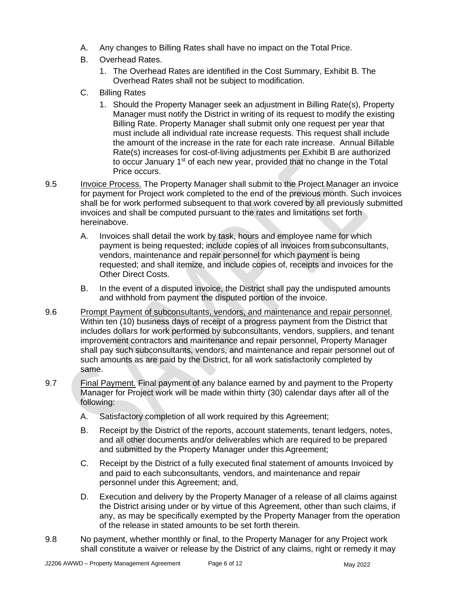- A. Any changes to Billing Rates shall have no impact on the Total Price.
- B. Overhead Rates.
	- 1. The Overhead Rates are identified in the Cost Summary, Exhibit B. The Overhead Rates shall not be subject to modification.
- C. Billing Rates
	- 1. Should the Property Manager seek an adjustment in Billing Rate(s), Property Manager must notify the District in writing of its request to modify the existing Billing Rate. Property Manager shall submit only one request per year that must include all individual rate increase requests. This request shall include the amount of the increase in the rate for each rate increase. Annual Billable Rate(s) increases for cost-of-living adjustments per Exhibit B are authorized to occur January 1<sup>st</sup> of each new year, provided that no change in the Total Price occurs.
- 9.5 Invoice Process. The Property Manager shall submit to the Project Manager an invoice for payment for Project work completed to the end of the previous month. Such invoices shall be for work performed subsequent to that work covered by all previously submitted invoices and shall be computed pursuant to the rates and limitations set forth hereinabove.
	- A. Invoices shall detail the work by task, hours and employee name for which payment is being requested; include copies of all invoices from subconsultants, vendors, maintenance and repair personnel for which payment is being requested; and shall itemize, and include copies of, receipts and invoices for the Other Direct Costs.
	- B. In the event of a disputed invoice, the District shall pay the undisputed amounts and withhold from payment the disputed portion of the invoice.
- 9.6 Prompt Payment of subconsultants, vendors, and maintenance and repair personnel. Within ten (10) business days of receipt of a progress payment from the District that includes dollars for work performed by subconsultants, vendors, suppliers, and tenant improvement contractors and maintenance and repair personnel, Property Manager shall pay such subconsultants, vendors, and maintenance and repair personnel out of such amounts as are paid by the District, for all work satisfactorily completed by same.
- 9.7 Final Payment. Final payment of any balance earned by and payment to the Property Manager for Project work will be made within thirty (30) calendar days after all of the following:
	- A. Satisfactory completion of all work required by this Agreement;
	- B. Receipt by the District of the reports, account statements, tenant ledgers, notes, and all other documents and/or deliverables which are required to be prepared and submitted by the Property Manager under this Agreement;
	- C. Receipt by the District of a fully executed final statement of amounts Invoiced by and paid to each subconsultants, vendors, and maintenance and repair personnel under this Agreement; and,
	- D. Execution and delivery by the Property Manager of a release of all claims against the District arising under or by virtue of this Agreement, other than such claims, if any, as may be specifically exempted by the Property Manager from the operation of the release in stated amounts to be set forth therein.
- 9.8 No payment, whether monthly or final, to the Property Manager for any Project work shall constitute a waiver or release by the District of any claims, right or remedy it may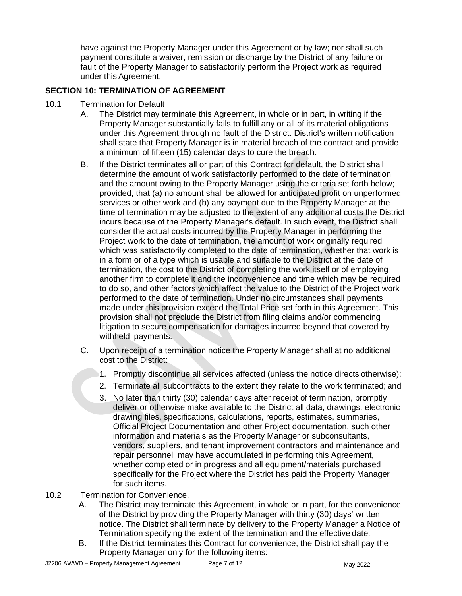have against the Property Manager under this Agreement or by law; nor shall such payment constitute a waiver, remission or discharge by the District of any failure or fault of the Property Manager to satisfactorily perform the Project work as required under this Agreement.

#### **SECTION 10: TERMINATION OF AGREEMENT**

- 10.1 Termination for Default
	- A. The District may terminate this Agreement, in whole or in part, in writing if the Property Manager substantially fails to fulfill any or all of its material obligations under this Agreement through no fault of the District. District's written notification shall state that Property Manager is in material breach of the contract and provide a minimum of fifteen (15) calendar days to cure the breach.
	- B. If the District terminates all or part of this Contract for default, the District shall determine the amount of work satisfactorily performed to the date of termination and the amount owing to the Property Manager using the criteria set forth below; provided, that (a) no amount shall be allowed for anticipated profit on unperformed services or other work and (b) any payment due to the Property Manager at the time of termination may be adjusted to the extent of any additional costs the District incurs because of the Property Manager's default. In such event, the District shall consider the actual costs incurred by the Property Manager in performing the Project work to the date of termination, the amount of work originally required which was satisfactorily completed to the date of termination, whether that work is in a form or of a type which is usable and suitable to the District at the date of termination, the cost to the District of completing the work itself or of employing another firm to complete it and the inconvenience and time which may be required to do so, and other factors which affect the value to the District of the Project work performed to the date of termination. Under no circumstances shall payments made under this provision exceed the Total Price set forth in this Agreement. This provision shall not preclude the District from filing claims and/or commencing litigation to secure compensation for damages incurred beyond that covered by withheld payments.
	- C. Upon receipt of a termination notice the Property Manager shall at no additional cost to the District:
		- 1. Promptly discontinue all services affected (unless the notice directs otherwise);
		- 2. Terminate all subcontracts to the extent they relate to the work terminated; and
		- 3. No later than thirty (30) calendar days after receipt of termination, promptly deliver or otherwise make available to the District all data, drawings, electronic drawing files, specifications, calculations, reports, estimates, summaries, Official Project Documentation and other Project documentation, such other information and materials as the Property Manager or subconsultants, vendors, suppliers, and tenant improvement contractors and maintenance and repair personnel may have accumulated in performing this Agreement, whether completed or in progress and all equipment/materials purchased specifically for the Project where the District has paid the Property Manager for such items.
- 10.2 Termination for Convenience.
	- A. The District may terminate this Agreement, in whole or in part, for the convenience of the District by providing the Property Manager with thirty (30) days' written notice. The District shall terminate by delivery to the Property Manager a Notice of Termination specifying the extent of the termination and the effective date.
	- B. If the District terminates this Contract for convenience, the District shall pay the Property Manager only for the following items: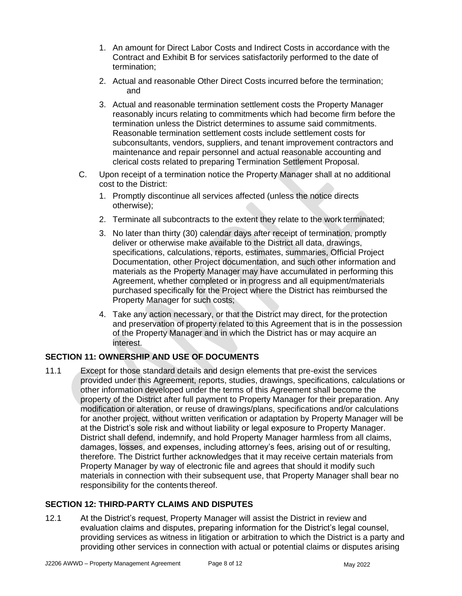- 1. An amount for Direct Labor Costs and Indirect Costs in accordance with the Contract and Exhibit B for services satisfactorily performed to the date of termination;
- 2. Actual and reasonable Other Direct Costs incurred before the termination; and
- 3. Actual and reasonable termination settlement costs the Property Manager reasonably incurs relating to commitments which had become firm before the termination unless the District determines to assume said commitments. Reasonable termination settlement costs include settlement costs for subconsultants, vendors, suppliers, and tenant improvement contractors and maintenance and repair personnel and actual reasonable accounting and clerical costs related to preparing Termination Settlement Proposal.
- C. Upon receipt of a termination notice the Property Manager shall at no additional cost to the District:
	- 1. Promptly discontinue all services affected (unless the notice directs otherwise);
	- 2. Terminate all subcontracts to the extent they relate to the work terminated;
	- 3. No later than thirty (30) calendar days after receipt of termination, promptly deliver or otherwise make available to the District all data, drawings, specifications, calculations, reports, estimates, summaries, Official Project Documentation, other Project documentation, and such other information and materials as the Property Manager may have accumulated in performing this Agreement, whether completed or in progress and all equipment/materials purchased specifically for the Project where the District has reimbursed the Property Manager for such costs;
	- 4. Take any action necessary, or that the District may direct, for the protection and preservation of property related to this Agreement that is in the possession of the Property Manager and in which the District has or may acquire an interest.

#### **SECTION 11: OWNERSHIP AND USE OF DOCUMENTS**

11.1 Except for those standard details and design elements that pre-exist the services provided under this Agreement, reports, studies, drawings, specifications, calculations or other information developed under the terms of this Agreement shall become the property of the District after full payment to Property Manager for their preparation. Any modification or alteration, or reuse of drawings/plans, specifications and/or calculations for another project, without written verification or adaptation by Property Manager will be at the District's sole risk and without liability or legal exposure to Property Manager. District shall defend, indemnify, and hold Property Manager harmless from all claims, damages, losses, and expenses, including attorney's fees, arising out of or resulting, therefore. The District further acknowledges that it may receive certain materials from Property Manager by way of electronic file and agrees that should it modify such materials in connection with their subsequent use, that Property Manager shall bear no responsibility for the contents thereof.

#### **SECTION 12: THIRD-PARTY CLAIMS AND DISPUTES**

12.1 At the District's request, Property Manager will assist the District in review and evaluation claims and disputes, preparing information for the District's legal counsel, providing services as witness in litigation or arbitration to which the District is a party and providing other services in connection with actual or potential claims or disputes arising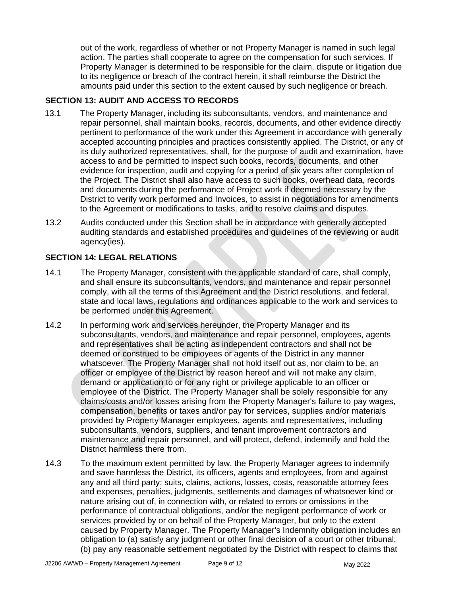out of the work, regardless of whether or not Property Manager is named in such legal action. The parties shall cooperate to agree on the compensation for such services. If Property Manager is determined to be responsible for the claim, dispute or litigation due to its negligence or breach of the contract herein, it shall reimburse the District the amounts paid under this section to the extent caused by such negligence or breach.

#### **SECTION 13: AUDIT AND ACCESS TO RECORDS**

- 13.1 The Property Manager, including its subconsultants, vendors, and maintenance and repair personnel, shall maintain books, records, documents, and other evidence directly pertinent to performance of the work under this Agreement in accordance with generally accepted accounting principles and practices consistently applied. The District, or any of its duly authorized representatives, shall, for the purpose of audit and examination, have access to and be permitted to inspect such books, records, documents, and other evidence for inspection, audit and copying for a period of six years after completion of the Project. The District shall also have access to such books, overhead data, records and documents during the performance of Project work if deemed necessary by the District to verify work performed and Invoices, to assist in negotiations for amendments to the Agreement or modifications to tasks, and to resolve claims and disputes.
- 13.2 Audits conducted under this Section shall be in accordance with generally accepted auditing standards and established procedures and guidelines of the reviewing or audit agency(ies).

#### **SECTION 14: LEGAL RELATIONS**

- 14.1 The Property Manager, consistent with the applicable standard of care, shall comply, and shall ensure its subconsultants, vendors, and maintenance and repair personnel comply, with all the terms of this Agreement and the District resolutions, and federal, state and local laws, regulations and ordinances applicable to the work and services to be performed under this Agreement.
- 14.2 In performing work and services hereunder, the Property Manager and its subconsultants, vendors, and maintenance and repair personnel, employees, agents and representatives shall be acting as independent contractors and shall not be deemed or construed to be employees or agents of the District in any manner whatsoever. The Property Manager shall not hold itself out as, nor claim to be, an officer or employee of the District by reason hereof and will not make any claim, demand or application to or for any right or privilege applicable to an officer or employee of the District. The Property Manager shall be solely responsible for any claims/costs and/or losses arising from the Property Manager's failure to pay wages, compensation, benefits or taxes and/or pay for services, supplies and/or materials provided by Property Manager employees, agents and representatives, including subconsultants, vendors, suppliers, and tenant improvement contractors and maintenance and repair personnel, and will protect, defend, indemnify and hold the District harmless there from.
- 14.3 To the maximum extent permitted by law, the Property Manager agrees to indemnify and save harmless the District, its officers, agents and employees, from and against any and all third party: suits, claims, actions, losses, costs, reasonable attorney fees and expenses, penalties, judgments, settlements and damages of whatsoever kind or nature arising out of, in connection with, or related to errors or omissions in the performance of contractual obligations, and/or the negligent performance of work or services provided by or on behalf of the Property Manager, but only to the extent caused by Property Manager. The Property Manager's Indemnity obligation includes an obligation to (a) satisfy any judgment or other final decision of a court or other tribunal; (b) pay any reasonable settlement negotiated by the District with respect to claims that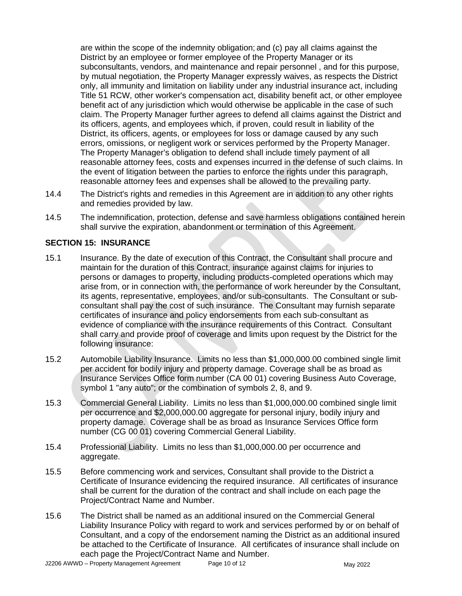are within the scope of the indemnity obligation; and (c) pay all claims against the District by an employee or former employee of the Property Manager or its subconsultants, vendors, and maintenance and repair personnel , and for this purpose, by mutual negotiation, the Property Manager expressly waives, as respects the District only, all immunity and limitation on liability under any industrial insurance act, including Title 51 RCW, other worker's compensation act, disability benefit act, or other employee benefit act of any jurisdiction which would otherwise be applicable in the case of such claim. The Property Manager further agrees to defend all claims against the District and its officers, agents, and employees which, if proven, could result in liability of the District, its officers, agents, or employees for loss or damage caused by any such errors, omissions, or negligent work or services performed by the Property Manager. The Property Manager's obligation to defend shall include timely payment of all reasonable attorney fees, costs and expenses incurred in the defense of such claims. In the event of litigation between the parties to enforce the rights under this paragraph, reasonable attorney fees and expenses shall be allowed to the prevailing party.

- 14.4 The District's rights and remedies in this Agreement are in addition to any other rights and remedies provided by law.
- 14.5 The indemnification, protection, defense and save harmless obligations contained herein shall survive the expiration, abandonment or termination of this Agreement.

#### **SECTION 15: INSURANCE**

- 15.1 Insurance. By the date of execution of this Contract, the Consultant shall procure and maintain for the duration of this Contract, insurance against claims for injuries to persons or damages to property, including products-completed operations which may arise from, or in connection with, the performance of work hereunder by the Consultant, its agents, representative, employees, and/or sub-consultants. The Consultant or subconsultant shall pay the cost of such insurance. The Consultant may furnish separate certificates of insurance and policy endorsements from each sub-consultant as evidence of compliance with the insurance requirements of this Contract. Consultant shall carry and provide proof of coverage and limits upon request by the District for the following insurance:
- 15.2 Automobile Liability Insurance. Limits no less than \$1,000,000.00 combined single limit per accident for bodily injury and property damage. Coverage shall be as broad as Insurance Services Office form number (CA 00 01) covering Business Auto Coverage, symbol 1 "any auto"; or the combination of symbols 2, 8, and 9.
- 15.3 Commercial General Liability. Limits no less than \$1,000,000.00 combined single limit per occurrence and \$2,000,000.00 aggregate for personal injury, bodily injury and property damage. Coverage shall be as broad as Insurance Services Office form number (CG 00 01) covering Commercial General Liability.
- 15.4 Professional Liability. Limits no less than \$1,000,000.00 per occurrence and aggregate.
- 15.5 Before commencing work and services, Consultant shall provide to the District a Certificate of Insurance evidencing the required insurance. All certificates of insurance shall be current for the duration of the contract and shall include on each page the Project/Contract Name and Number.
- 15.6 The District shall be named as an additional insured on the Commercial General Liability Insurance Policy with regard to work and services performed by or on behalf of Consultant, and a copy of the endorsement naming the District as an additional insured be attached to the Certificate of Insurance. All certificates of insurance shall include on each page the Project/Contract Name and Number.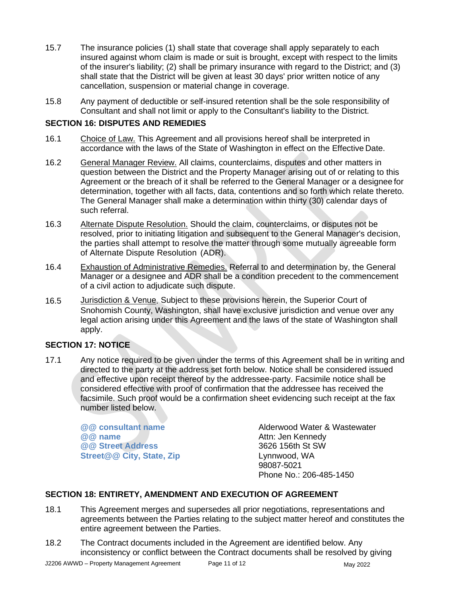- 15.7 The insurance policies (1) shall state that coverage shall apply separately to each insured against whom claim is made or suit is brought, except with respect to the limits of the insurer's liability; (2) shall be primary insurance with regard to the District; and (3) shall state that the District will be given at least 30 days' prior written notice of any cancellation, suspension or material change in coverage.
- 15.8 Any payment of deductible or self-insured retention shall be the sole responsibility of Consultant and shall not limit or apply to the Consultant's liability to the District.

#### **SECTION 16: DISPUTES AND REMEDIES**

- 16.1 Choice of Law. This Agreement and all provisions hereof shall be interpreted in accordance with the laws of the State of Washington in effect on the Effective Date.
- 16.2 General Manager Review. All claims, counterclaims, disputes and other matters in question between the District and the Property Manager arising out of or relating to this Agreement or the breach of it shall be referred to the General Manager or a designee for determination, together with all facts, data, contentions and so forth which relate thereto. The General Manager shall make a determination within thirty (30) calendar days of such referral.
- 16.3 Alternate Dispute Resolution. Should the claim, counterclaims, or disputes not be resolved, prior to initiating litigation and subsequent to the General Manager's decision, the parties shall attempt to resolve the matter through some mutually agreeable form of Alternate Dispute Resolution (ADR).
- 16.4 Exhaustion of Administrative Remedies. Referral to and determination by, the General Manager or a designee and ADR shall be a condition precedent to the commencement of a civil action to adjudicate such dispute.
- 16.5 Jurisdiction & Venue. Subject to these provisions herein, the Superior Court of Snohomish County, Washington, shall have exclusive jurisdiction and venue over any legal action arising under this Agreement and the laws of the state of Washington shall apply.

#### **SECTION 17: NOTICE**

17.1 Any notice required to be given under the terms of this Agreement shall be in writing and directed to the party at the address set forth below. Notice shall be considered issued and effective upon receipt thereof by the addressee-party. Facsimile notice shall be considered effective with proof of confirmation that the addressee has received the facsimile. Such proof would be a confirmation sheet evidencing such receipt at the fax number listed below.

**@@ Street Address** 3626 156th St SW **Street@@ City, State, Zip** Lynnwood, WA

**@@ consultant name** Alderwood Water & Wastewater **@@** name Attn: Jen Kennedy **@@ name** Attn: Jen Kennedy 98087-5021 Phone No.: 206-485-1450

#### **SECTION 18: ENTIRETY, AMENDMENT AND EXECUTION OF AGREEMENT**

- 18.1 This Agreement merges and supersedes all prior negotiations, representations and agreements between the Parties relating to the subject matter hereof and constitutes the entire agreement between the Parties.
- 18.2 The Contract documents included in the Agreement are identified below. Any inconsistency or conflict between the Contract documents shall be resolved by giving